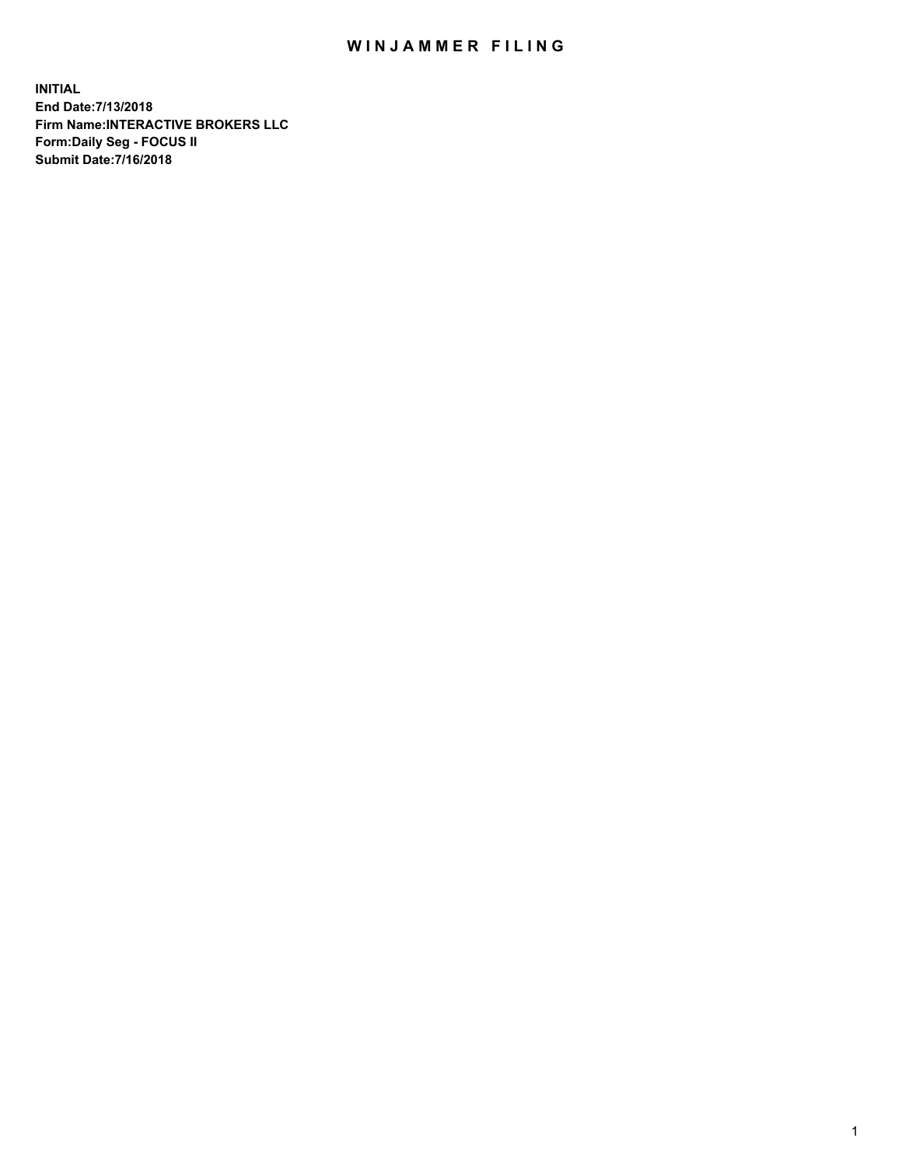## WIN JAMMER FILING

**INITIAL End Date:7/13/2018 Firm Name:INTERACTIVE BROKERS LLC Form:Daily Seg - FOCUS II Submit Date:7/16/2018**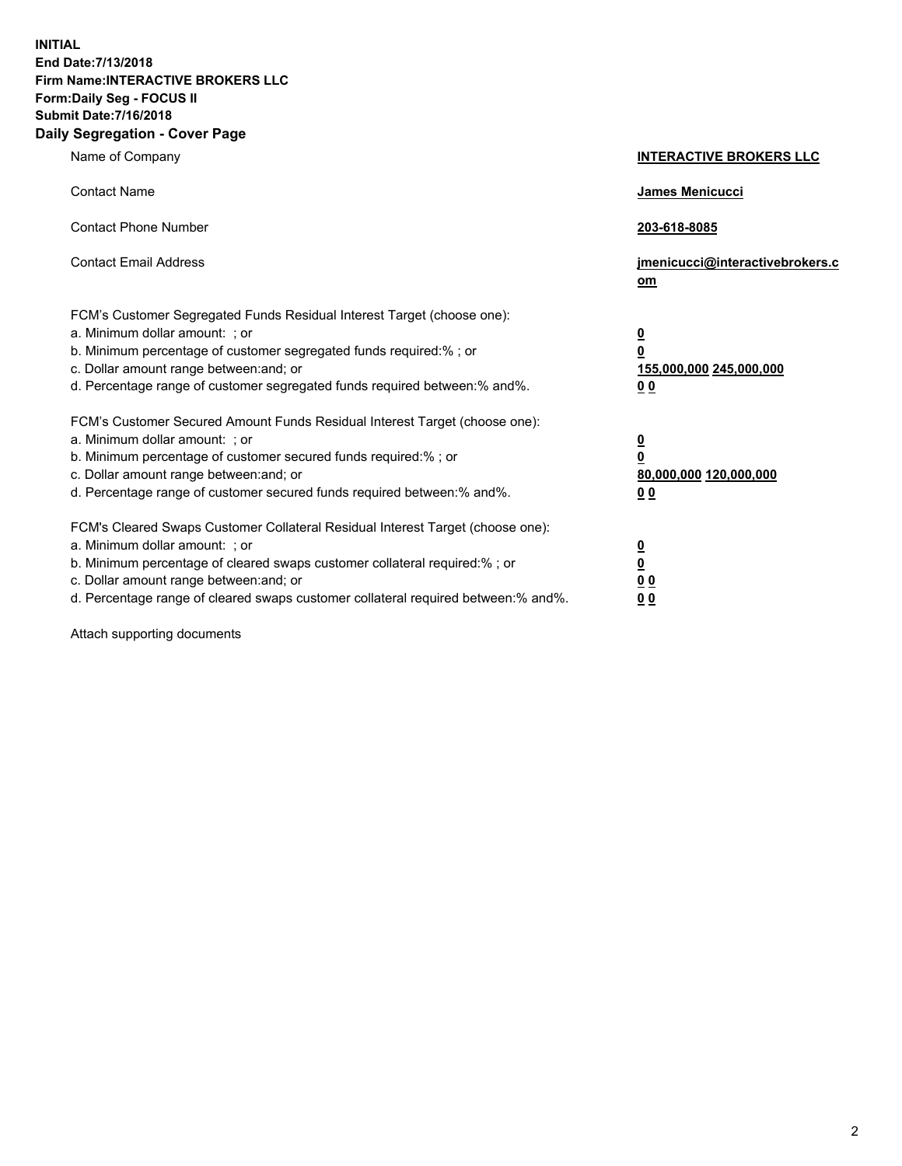**INITIAL End Date:7/13/2018 Firm Name:INTERACTIVE BROKERS LLC Form:Daily Seg - FOCUS II Submit Date:7/16/2018 Daily Segregation - Cover Page**

| Name of Company                                                                                                                                                                                                                                                                                                                | <b>INTERACTIVE BROKERS LLC</b>                                                                  |
|--------------------------------------------------------------------------------------------------------------------------------------------------------------------------------------------------------------------------------------------------------------------------------------------------------------------------------|-------------------------------------------------------------------------------------------------|
| <b>Contact Name</b>                                                                                                                                                                                                                                                                                                            | James Menicucci                                                                                 |
| <b>Contact Phone Number</b>                                                                                                                                                                                                                                                                                                    | 203-618-8085                                                                                    |
| <b>Contact Email Address</b>                                                                                                                                                                                                                                                                                                   | jmenicucci@interactivebrokers.c<br>om                                                           |
| FCM's Customer Segregated Funds Residual Interest Target (choose one):<br>a. Minimum dollar amount: ; or<br>b. Minimum percentage of customer segregated funds required:% ; or<br>c. Dollar amount range between: and; or<br>d. Percentage range of customer segregated funds required between:% and%.                         | $\overline{\mathbf{0}}$<br>$\overline{\mathbf{0}}$<br>155,000,000 245,000,000<br>0 <sub>0</sub> |
| FCM's Customer Secured Amount Funds Residual Interest Target (choose one):<br>a. Minimum dollar amount: ; or<br>b. Minimum percentage of customer secured funds required:% ; or<br>c. Dollar amount range between: and; or<br>d. Percentage range of customer secured funds required between:% and%.                           | $\overline{\mathbf{0}}$<br>0<br>80,000,000 120,000,000<br>0 <sub>0</sub>                        |
| FCM's Cleared Swaps Customer Collateral Residual Interest Target (choose one):<br>a. Minimum dollar amount: ; or<br>b. Minimum percentage of cleared swaps customer collateral required:% ; or<br>c. Dollar amount range between: and; or<br>d. Percentage range of cleared swaps customer collateral required between:% and%. | $\overline{\mathbf{0}}$<br><u>0</u><br>$\underline{0}$ $\underline{0}$<br>00                    |

Attach supporting documents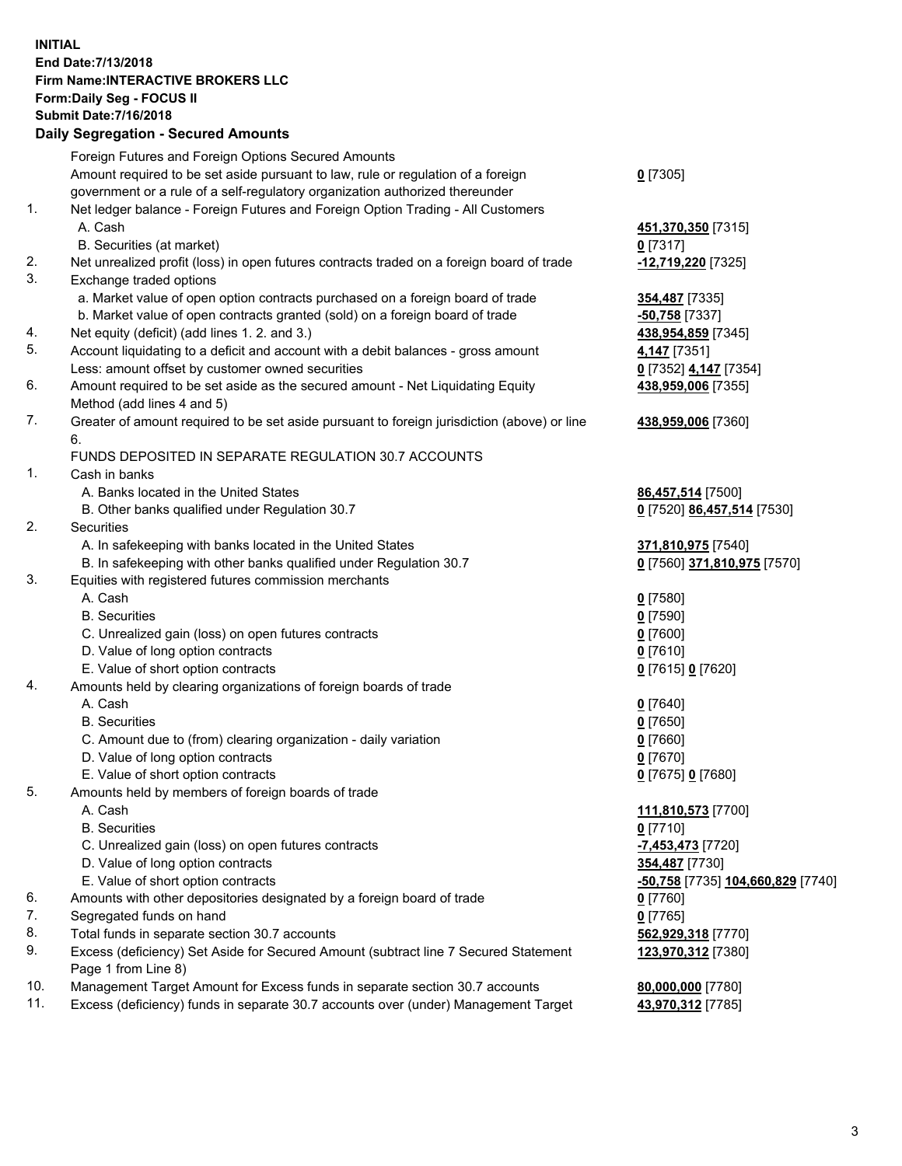## **INITIAL End Date:7/13/2018 Firm Name:INTERACTIVE BROKERS LLC Form:Daily Seg - FOCUS II Submit Date:7/16/2018 Daily Segregation - Secured Amounts**

|                | Daily Jegregation - Jeculed Aniounts                                                              |                                                |
|----------------|---------------------------------------------------------------------------------------------------|------------------------------------------------|
|                | Foreign Futures and Foreign Options Secured Amounts                                               |                                                |
|                | Amount required to be set aside pursuant to law, rule or regulation of a foreign                  | $0$ [7305]                                     |
|                | government or a rule of a self-regulatory organization authorized thereunder                      |                                                |
| $\mathbf{1}$ . | Net ledger balance - Foreign Futures and Foreign Option Trading - All Customers                   |                                                |
|                | A. Cash                                                                                           | 451,370,350 [7315]                             |
|                | B. Securities (at market)                                                                         | $0$ [7317]                                     |
| 2.             | Net unrealized profit (loss) in open futures contracts traded on a foreign board of trade         | -12,719,220 [7325]                             |
| 3.             | Exchange traded options                                                                           |                                                |
|                | a. Market value of open option contracts purchased on a foreign board of trade                    | <b>354,487</b> [7335]                          |
|                | b. Market value of open contracts granted (sold) on a foreign board of trade                      | -50,758 [7337]                                 |
| 4.             | Net equity (deficit) (add lines 1. 2. and 3.)                                                     | 438,954,859 [7345]                             |
| 5.             | Account liquidating to a deficit and account with a debit balances - gross amount                 | 4,147 [7351]                                   |
|                | Less: amount offset by customer owned securities                                                  | 0 [7352] 4,147 [7354]                          |
| 6.             | Amount required to be set aside as the secured amount - Net Liquidating Equity                    | 438,959,006 [7355]                             |
|                | Method (add lines 4 and 5)                                                                        |                                                |
| 7.             | Greater of amount required to be set aside pursuant to foreign jurisdiction (above) or line<br>6. | 438,959,006 [7360]                             |
|                | FUNDS DEPOSITED IN SEPARATE REGULATION 30.7 ACCOUNTS                                              |                                                |
| 1.             | Cash in banks                                                                                     |                                                |
|                | A. Banks located in the United States                                                             | 86,457,514 [7500]                              |
|                | B. Other banks qualified under Regulation 30.7                                                    | 0 [7520] 86,457,514 [7530]                     |
| 2.             | Securities                                                                                        |                                                |
|                | A. In safekeeping with banks located in the United States                                         | 371,810,975 [7540]                             |
|                | B. In safekeeping with other banks qualified under Regulation 30.7                                | 0 [7560] 371,810,975 [7570]                    |
| 3.             | Equities with registered futures commission merchants                                             |                                                |
|                | A. Cash                                                                                           | $0$ [7580]                                     |
|                | <b>B.</b> Securities                                                                              | $0$ [7590]                                     |
|                | C. Unrealized gain (loss) on open futures contracts                                               | $0$ [7600]                                     |
|                | D. Value of long option contracts                                                                 | $0$ [7610]                                     |
|                | E. Value of short option contracts                                                                | 0 [7615] 0 [7620]                              |
| 4.             | Amounts held by clearing organizations of foreign boards of trade                                 |                                                |
|                | A. Cash                                                                                           | $0$ [7640]                                     |
|                | <b>B.</b> Securities                                                                              | $0$ [7650]                                     |
|                | C. Amount due to (from) clearing organization - daily variation                                   | $0$ [7660]                                     |
|                | D. Value of long option contracts                                                                 | $0$ [7670]                                     |
|                | E. Value of short option contracts                                                                | 0 [7675] 0 [7680]                              |
| 5.             | Amounts held by members of foreign boards of trade                                                |                                                |
|                | A. Cash                                                                                           | 111,810,573 [7700]                             |
|                | <b>B.</b> Securities                                                                              | $0$ [7710]                                     |
|                | C. Unrealized gain (loss) on open futures contracts                                               | -7,453,473 [7720]                              |
|                | D. Value of long option contracts                                                                 | 354,487 [7730]                                 |
|                | E. Value of short option contracts                                                                | <mark>-50,758</mark> [7735] 104,660,829 [7740] |
| 6.             | Amounts with other depositories designated by a foreign board of trade                            | $0$ [7760]                                     |
| 7.             | Segregated funds on hand                                                                          | $0$ [7765]                                     |
| 8.             | Total funds in separate section 30.7 accounts                                                     | 562,929,318 [7770]                             |
| 9.             | Excess (deficiency) Set Aside for Secured Amount (subtract line 7 Secured Statement               | 123,970,312 [7380]                             |
|                | Page 1 from Line 8)                                                                               |                                                |
| 10.            | Management Target Amount for Excess funds in separate section 30.7 accounts                       | 80,000,000 [7780]                              |
| 11.            | Excess (deficiency) funds in separate 30.7 accounts over (under) Management Target                | 43,970,312 [7785]                              |
|                |                                                                                                   |                                                |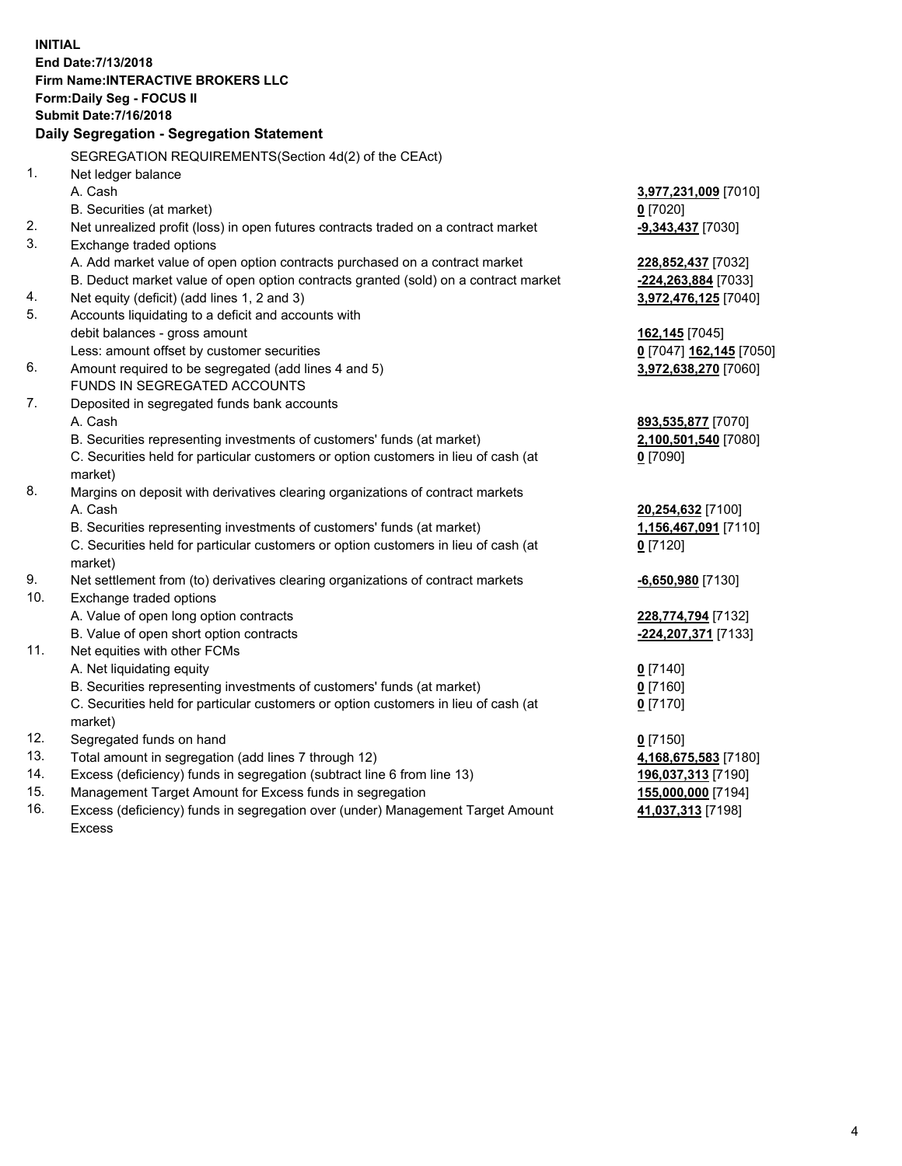**INITIAL End Date:7/13/2018 Firm Name:INTERACTIVE BROKERS LLC Form:Daily Seg - FOCUS II Submit Date:7/16/2018 Daily Segregation - Segregation Statement** SEGREGATION REQUIREMENTS(Section 4d(2) of the CEAct) 1. Net ledger balance A. Cash **3,977,231,009** [7010] B. Securities (at market) **0** [7020] 2. Net unrealized profit (loss) in open futures contracts traded on a contract market **-9,343,437** [7030] 3. Exchange traded options A. Add market value of open option contracts purchased on a contract market **228,852,437** [7032] B. Deduct market value of open option contracts granted (sold) on a contract market **-224,263,884** [7033] 4. Net equity (deficit) (add lines 1, 2 and 3) **3,972,476,125** [7040] 5. Accounts liquidating to a deficit and accounts with debit balances - gross amount **162,145** [7045] Less: amount offset by customer securities **0** [7047] **162,145** [7050] 6. Amount required to be segregated (add lines 4 and 5) **3,972,638,270** [7060] FUNDS IN SEGREGATED ACCOUNTS 7. Deposited in segregated funds bank accounts A. Cash **893,535,877** [7070] B. Securities representing investments of customers' funds (at market) **2,100,501,540** [7080] C. Securities held for particular customers or option customers in lieu of cash (at market) **0** [7090] 8. Margins on deposit with derivatives clearing organizations of contract markets A. Cash **20,254,632** [7100] B. Securities representing investments of customers' funds (at market) **1,156,467,091** [7110] C. Securities held for particular customers or option customers in lieu of cash (at market) **0** [7120] 9. Net settlement from (to) derivatives clearing organizations of contract markets **-6,650,980** [7130] 10. Exchange traded options A. Value of open long option contracts **228,774,794** [7132] B. Value of open short option contracts **-224,207,371** [7133] 11. Net equities with other FCMs A. Net liquidating equity **0** [7140] B. Securities representing investments of customers' funds (at market) **0** [7160] C. Securities held for particular customers or option customers in lieu of cash (at market) **0** [7170] 12. Segregated funds on hand **0** [7150] 13. Total amount in segregation (add lines 7 through 12) **4,168,675,583** [7180] 14. Excess (deficiency) funds in segregation (subtract line 6 from line 13) **196,037,313** [7190] 15. Management Target Amount for Excess funds in segregation **155,000,000** [7194]

16. Excess (deficiency) funds in segregation over (under) Management Target Amount Excess

**41,037,313** [7198]